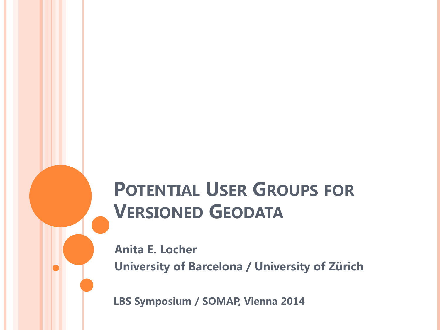# POTENTIAL USER GROUPS FOR VERSIONED GEODATA

Anita E. Locher University of Barcelona / University of Zürich

LBS Symposium / SOMAP, Vienna 2014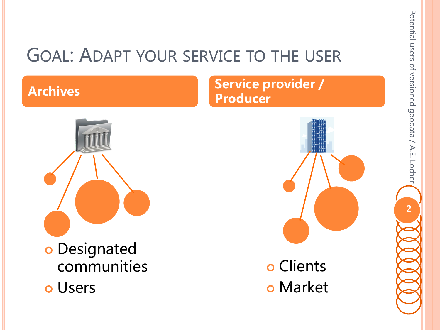#### GOAL: ADAPT YOUR SERVICE TO THE USER

Archives Service provider / Producer



 Clients **o** Market Potential users of versioned geodata / A.E. Locher Potential users of versioned geodata / A.E. Locher 2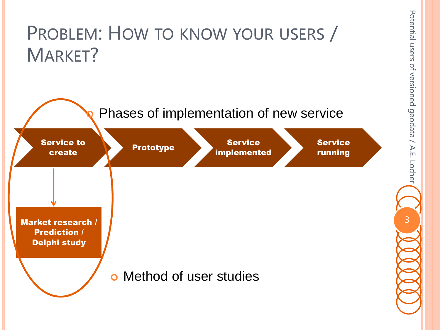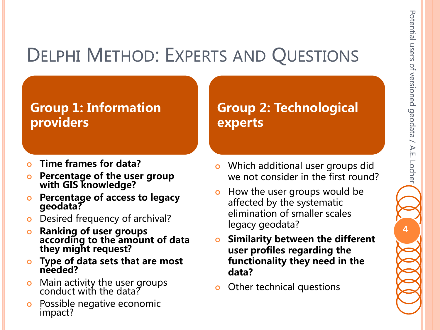# DELPHI METHOD: EXPERTS AND QUESTIONS

#### Group 1: Information providers

- Time frames for data?
- **o** Percentage of the user group with GIS knowledge?
- **o** Percentage of access to legacy geodata?
- **o** Desired frequency of archival?
- **o** Ranking of user groups according to the amount of data they might request?
- **o** Type of data sets that are most needed?
- **•** Main activity the user groups conduct with the data?
- o Possible negative economic impact?

Group 2: Technological experts

- **o** Which additional user groups did we not consider in the first round?
- **•** How the user groups would be affected by the systematic elimination of smaller scales legacy geodata?
- **o** Similarity between the different user profiles regarding the functionality they need in the data?
- **o** Other technical questions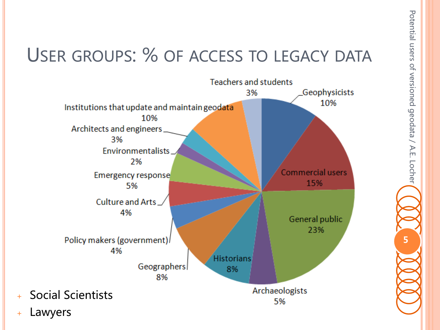# USER GROUPS: % OF ACCESS TO LEGACY DATA



Potential users of versioned geodata / A.E. Locher Potential users of versioned geodata / A.E. Locher 5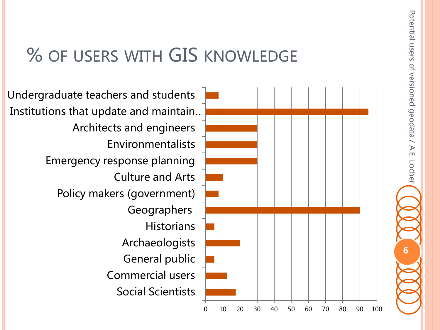#### % OF USERS WITH GIS KNOWLEDGE

Social Scientists Commercial users General public Archaeologists **Historians Geographers** Policy makers (government) Culture and Arts Emergency response planning Environmentalists Architects and engineers Institutions that update and maintain … Undergraduate teachers and students



Potential users of versioned geodata

Potential users of versioned geodata / A.E. Locher

/ A.E. Locher

6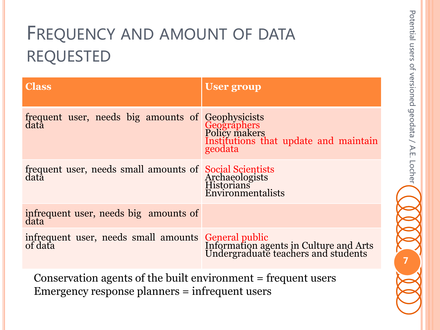# FREQUENCY AND AMOUNT OF DATA REQUESTED

| <b>Class</b>                                                                                                                                 | <b>User group</b>                                |  |  |  |  |  |
|----------------------------------------------------------------------------------------------------------------------------------------------|--------------------------------------------------|--|--|--|--|--|
| frequent user, needs big amounts of Geophysicists<br>data Geographers<br>Policy makers                                                       | Institutions that update and maintain<br>geodata |  |  |  |  |  |
| frequent user, needs small amounts of Social Scientists<br>data Archaeologists<br>Historians                                                 | Environmentalists                                |  |  |  |  |  |
| infrequent user, needs big amounts of data                                                                                                   |                                                  |  |  |  |  |  |
| infrequent user, needs small amounts General public<br>of data Information agents in Culture and Arts<br>Undergraduate teachers and students |                                                  |  |  |  |  |  |
| Conservation agents of the built environment = frequent users<br>Emergency response planners = infrequent users                              |                                                  |  |  |  |  |  |

Potential users of versioned geodata

Potential users of versioned geodata / A.E. Locher

/ A.E. Locher

7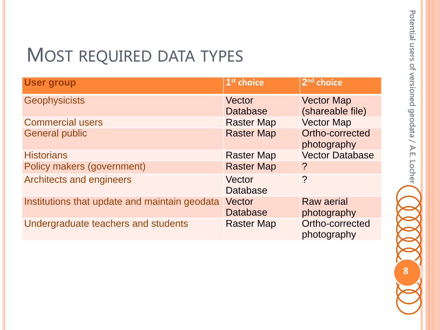#### MOST REQUIRED DATA TYPES

| <b>User group</b>                             | 1 <sup>st</sup> choice    | 2 <sup>nd</sup> choice                |
|-----------------------------------------------|---------------------------|---------------------------------------|
| <b>Geophysicists</b>                          | Vector<br><b>Database</b> | <b>Vector Map</b><br>(shareable file) |
| <b>Commercial users</b>                       | <b>Raster Map</b>         | <b>Vector Map</b>                     |
| <b>General public</b>                         | <b>Raster Map</b>         | Ortho-corrected<br>photography        |
| <b>Historians</b>                             | <b>Raster Map</b>         | <b>Vector Database</b>                |
| Policy makers (government)                    | <b>Raster Map</b>         | ?                                     |
| <b>Architects and engineers</b>               | Vector<br><b>Database</b> | $\overline{?}$                        |
| Institutions that update and maintain geodata | Vector<br><b>Database</b> | <b>Raw aerial</b><br>photography      |
| Undergraduate teachers and students           | <b>Raster Map</b>         | Ortho-corrected<br>photography        |

Potential users of versioned geodata / A.E. Locher Potential users of versioned geodata / A.E. Locher 8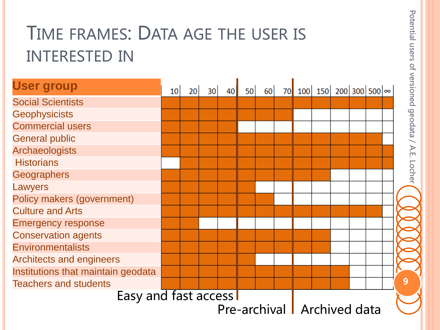# TIME FRAMES: DATA AGE THE USER IS INTERESTED IN

| <b>User group</b>                  | 10 <sup>1</sup> | 20 <sup>1</sup> | 30 | 40 | 50 | 60 |  | 70 100 150 200 300 500 $\infty$ |  |  |  |  |
|------------------------------------|-----------------|-----------------|----|----|----|----|--|---------------------------------|--|--|--|--|
| <b>Social Scientists</b>           |                 |                 |    |    |    |    |  |                                 |  |  |  |  |
| <b>Geophysicists</b>               |                 |                 |    |    |    |    |  |                                 |  |  |  |  |
| <b>Commercial users</b>            |                 |                 |    |    |    |    |  |                                 |  |  |  |  |
| <b>General public</b>              |                 |                 |    |    |    |    |  |                                 |  |  |  |  |
| Archaeologists                     |                 |                 |    |    |    |    |  |                                 |  |  |  |  |
| <b>Historians</b>                  |                 |                 |    |    |    |    |  |                                 |  |  |  |  |
| <b>Geographers</b>                 |                 |                 |    |    |    |    |  |                                 |  |  |  |  |
| Lawyers                            |                 |                 |    |    |    |    |  |                                 |  |  |  |  |
| Policy makers (government)         |                 |                 |    |    |    |    |  |                                 |  |  |  |  |
| <b>Culture and Arts</b>            |                 |                 |    |    |    |    |  |                                 |  |  |  |  |
| <b>Emergency response</b>          |                 |                 |    |    |    |    |  |                                 |  |  |  |  |
| <b>Conservation agents</b>         |                 |                 |    |    |    |    |  |                                 |  |  |  |  |
| <b>Environmentalists</b>           |                 |                 |    |    |    |    |  |                                 |  |  |  |  |
| <b>Architects and engineers</b>    |                 |                 |    |    |    |    |  |                                 |  |  |  |  |
| Institutions that maintain geodata |                 |                 |    |    |    |    |  |                                 |  |  |  |  |
| <b>Teachers and students</b>       |                 |                 |    |    |    |    |  |                                 |  |  |  |  |
| Easy and fast access               |                 |                 |    |    |    |    |  |                                 |  |  |  |  |
| Pre-archival   Archived data       |                 |                 |    |    |    |    |  |                                 |  |  |  |  |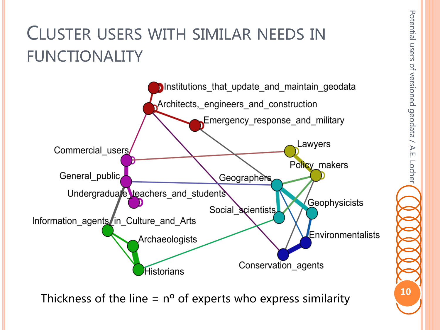# CLUSTER USERS WITH SIMILAR NEEDS IN FUNCTIONALITY



Thickness of the line =  $n^{\circ}$  of experts who express similarity  $\begin{pmatrix} 10 \\ 1 \end{pmatrix}$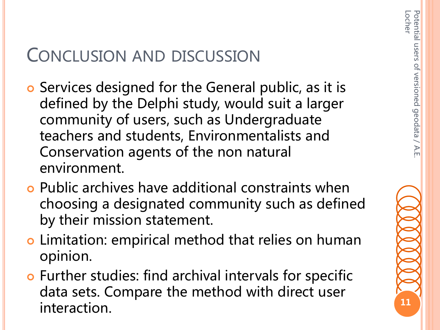11

#### CONCLUSION AND DISCUSSION

- o Services designed for the General public, as it is defined by the Delphi study, would suit a larger community of users, such as Undergraduate teachers and students, Environmentalists and Conservation agents of the non natural environment.
- Public archives have additional constraints when choosing a designated community such as defined by their mission statement.
- o Limitation: empirical method that relies on human opinion.
- Further studies: find archival intervals for specific data sets. Compare the method with direct user interaction.